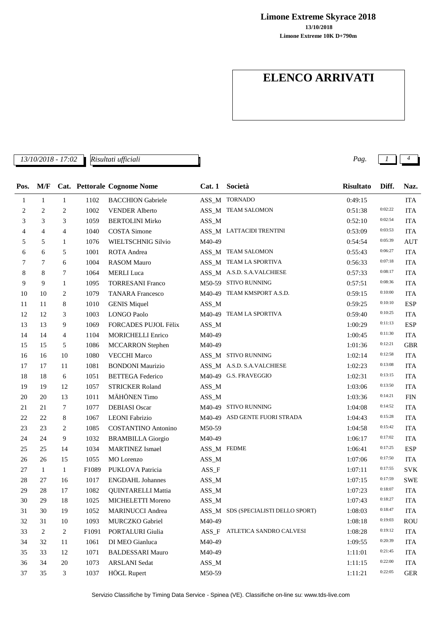**Limone Extreme Skyrace 2018**

**Limone Extreme 10K D+790m 13/10/2018**

## **ELENCO ARRIVATI**

*13/10/2018 - 17:02 Pag. 1 4 Risultati ufficiali*

| Pos. | M/F            |                |       | <b>Cat.</b> Pettorale Cognome Nome | Cat.1       | Società                             | <b>Risultato</b> | Diff.   | Naz.       |
|------|----------------|----------------|-------|------------------------------------|-------------|-------------------------------------|------------------|---------|------------|
| 1    | $\mathbf{1}$   | $\mathbf{1}$   | 1102  | <b>BACCHION</b> Gabriele           |             | ASS_M TORNADO                       | 0:49:15          |         | <b>ITA</b> |
| 2    | $\mathfrak{2}$ | 2              | 1002  | <b>VENDER Alberto</b>              |             | ASS_M TEAM SALOMON                  | 0:51:38          | 0:02:22 | <b>ITA</b> |
| 3    | 3              | 3              | 1059  | <b>BERTOLINI Mirko</b>             | $ASS\_M$    |                                     | 0:52:10          | 0:02:54 | <b>ITA</b> |
| 4    | 4              | 4              | 1040  | <b>COSTA Simone</b>                |             | ASS_M LATTACIDI TRENTINI            | 0:53:09          | 0:03:53 | <b>ITA</b> |
| 5    | 5              | 1              | 1076  | WIELTSCHNIG Silvio                 | M40-49      |                                     | 0:54:54          | 0:05:39 | <b>AUT</b> |
| 6    | 6              | 5              | 1001  | ROTA Andrea                        |             | ASS_M TEAM SALOMON                  | 0:55:43          | 0:06:27 | <b>ITA</b> |
| 7    | 7              | 6              | 1004  | <b>RASOM Mauro</b>                 |             | ASS_M TEAM LA SPORTIVA              | 0:56:33          | 0:07:18 | <b>ITA</b> |
| 8    | 8              | 7              | 1064  | <b>MERLI</b> Luca                  |             | ASS_M A.S.D. S.A.VALCHIESE          | 0:57:33          | 0:08:17 | <b>ITA</b> |
| 9    | 9              | $\mathbf{1}$   | 1095  | <b>TORRESANI Franco</b>            |             | M50-59 STIVO RUNNING                | 0:57:51          | 0:08:36 | <b>ITA</b> |
| 10   | 10             | 2              | 1079  | <b>TANARA</b> Francesco            |             | M40-49 TEAM KMSPORT A.S.D.          | 0:59:15          | 0:10:00 | <b>ITA</b> |
| 11   | 11             | 8              | 1010  | <b>GENIS Miquel</b>                | $ASS\_M$    |                                     | 0:59:25          | 0:10:10 | <b>ESP</b> |
| 12   | 12             | 3              | 1003  | <b>LONGO Paolo</b>                 |             | M40-49 TEAM LA SPORTIVA             | 0:59:40          | 0:10:25 | <b>ITA</b> |
| 13   | 13             | 9              | 1069  | FORCADES PUJOL Fèlix               | $ASS\_M$    |                                     | 1:00:29          | 0:11:13 | <b>ESP</b> |
| 14   | 14             | $\overline{4}$ | 1104  | <b>MORICHELLI Enrico</b>           | M40-49      |                                     | 1:00:45          | 0:11:30 | <b>ITA</b> |
| 15   | 15             | 5              | 1086  | <b>MCCARRON</b> Stephen            | M40-49      |                                     | 1:01:36          | 0:12:21 | <b>GBR</b> |
| 16   | 16             | 10             | 1080  | <b>VECCHI Marco</b>                |             | ASS_M STIVO RUNNING                 | 1:02:14          | 0:12:58 | <b>ITA</b> |
| 17   | 17             | 11             | 1081  | <b>BONDONI</b> Maurizio            |             | ASS_M A.S.D. S.A.VALCHIESE          | 1:02:23          | 0:13:08 | <b>ITA</b> |
| 18   | 18             | 6              | 1051  | <b>BETTEGA</b> Federico            |             | M40-49 G.S. FRAVEGGIO               | 1:02:31          | 0:13:15 | <b>ITA</b> |
| 19   | 19             | 12             | 1057  | <b>STRICKER Roland</b>             | $ASS\_M$    |                                     | 1:03:06          | 0:13:50 | <b>ITA</b> |
| 20   | 20             | 13             | 1011  | MÄHÖNEN Timo                       | $ASS\_M$    |                                     | 1:03:36          | 0:14:21 | <b>FIN</b> |
| 21   | 21             | 7              | 1077  | <b>DEBIASI</b> Oscar               |             | M40-49 STIVO RUNNING                | 1:04:08          | 0:14:52 | <b>ITA</b> |
| 22   | 22             | 8              | 1067  | <b>LEONI</b> Fabrizio              |             | M40-49 ASD GENTE FUORI STRADA       | 1:04:43          | 0:15:28 | <b>ITA</b> |
| 23   | 23             | 2              | 1085  | <b>COSTANTINO Antonino</b>         | M50-59      |                                     | 1:04:58          | 0:15:42 | <b>ITA</b> |
| 24   | 24             | 9              | 1032  | <b>BRAMBILLA Giorgio</b>           | M40-49      |                                     | 1:06:17          | 0:17:02 | <b>ITA</b> |
| 25   | 25             | 14             | 1034  | <b>MARTINEZ</b> Ismael             | ASS_M FEDME |                                     | 1:06:41          | 0:17:25 | <b>ESP</b> |
| 26   | 26             | 15             | 1055  | MO Lorenzo                         | $ASS\_M$    |                                     | 1:07:06          | 0:17:50 | <b>ITA</b> |
| 27   | 1              | $\mathbf{1}$   | F1089 | PUKLOVA Patricia                   | $ASS_F$     |                                     | 1:07:11          | 0:17:55 | <b>SVK</b> |
| 28   | 27             | 16             | 1017  | <b>ENGDAHL Johannes</b>            | $ASS\_M$    |                                     | 1:07:15          | 0:17:59 | <b>SWE</b> |
| 29   | 28             | 17             | 1082  | <b>QUINTARELLI Mattia</b>          | $ASS\_M$    |                                     | 1:07:23          | 0:18:07 | ITA        |
| 30   | 29             | 18             | 1025  | MICHELETTI Moreno                  | $ASS\_M$    |                                     | 1:07:43          | 0:18:27 | ITA        |
| 31   | 30             | 19             | 1052  | <b>MARINUCCI</b> Andrea            |             | ASS_M SDS (SPECIALISTI DELLO SPORT) | 1:08:03          | 0:18:47 | <b>ITA</b> |
| 32   | 31             | 10             | 1093  | <b>MURCZKO</b> Gabriel             | M40-49      |                                     | 1:08:18          | 0:19:03 | <b>ROU</b> |
| 33   | $\overline{c}$ | $\overline{c}$ | F1091 | PORTALURI Giulia                   | $ASS_F$     | ATLETICA SANDRO CALVESI             | 1:08:28          | 0:19:12 | <b>ITA</b> |
| 34   | 32             | 11             | 1061  | DI MEO Gianluca                    | M40-49      |                                     | 1:09:55          | 0:20:39 | <b>ITA</b> |
| 35   | 33             | 12             | 1071  | <b>BALDESSARI Mauro</b>            | M40-49      |                                     | 1:11:01          | 0:21:45 | <b>ITA</b> |
| 36   | 34             | 20             | 1073  | <b>ARSLANI</b> Sedat               | $ASS\_M$    |                                     | 1:11:15          | 0:22:00 | <b>ITA</b> |
| 37   | 35             | 3              | 1037  | <b>HÖGL Rupert</b>                 | M50-59      |                                     | 1:11:21          | 0:22:05 | <b>GER</b> |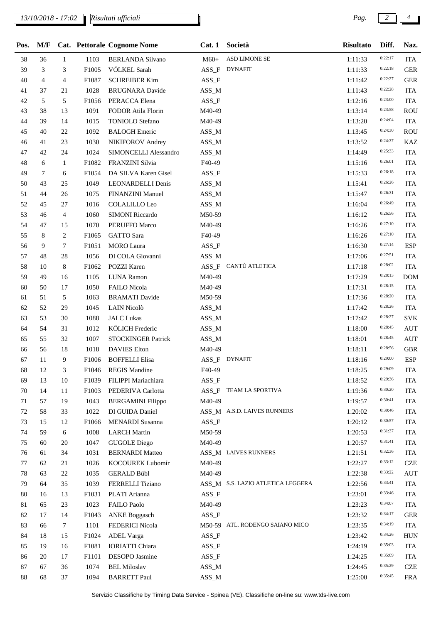*13/10/2018 - 17:02 Pag. 2 4*

*Risultati ufficiali*

| Pos. | M/F            |                |                   | Cat. Pettorale Cognome Nome | Cat.1    | Società                           | <b>Risultato</b> | Diff.   | Naz.       |
|------|----------------|----------------|-------------------|-----------------------------|----------|-----------------------------------|------------------|---------|------------|
| 38   | 36             | $\mathbf{1}$   | 1103              | <b>BERLANDA Silvano</b>     | $M60+$   | <b>ASD LIMONE SE</b>              | 1:11:33          | 0:22:17 | <b>ITA</b> |
| 39   | 3              | 3              | F1005             | VÖLKEL Sarah                | ASS_F    | <b>DYNAFIT</b>                    | 1:11:33          | 0:22:18 | <b>GER</b> |
| 40   | $\overline{4}$ | 4              | F1087             | <b>SCHREIBER Kim</b>        | $ASS_F$  |                                   | 1:11:42          | 0:22:27 | <b>GER</b> |
| 41   | 37             | 21             | 1028              | <b>BRUGNARA</b> Davide      | $ASS\_M$ |                                   | 1:11:43          | 0:22:28 | <b>ITA</b> |
| 42   | 5              | 5              | F1056             | PERACCA Elena               | ASS_F    |                                   | 1:12:16          | 0:23:00 | <b>ITA</b> |
| 43   | 38             | 13             | 1091              | FODOR Atila Florin          | M40-49   |                                   | 1:13:14          | 0:23:58 | <b>ROU</b> |
| 44   | 39             | 14             | 1015              | <b>TONIOLO</b> Stefano      | M40-49   |                                   | 1:13:20          | 0:24:04 | <b>ITA</b> |
| 45   | 40             | 22             | 1092              | <b>BALOGH</b> Emeric        | $ASS\_M$ |                                   | 1:13:45          | 0:24:30 | <b>ROU</b> |
| 46   | 41             | 23             | 1030              | NIKIFOROV Andrey            | ASS_M    |                                   | 1:13:52          | 0:24:37 | KAZ        |
| 47   | 42             | 24             | 1024              | SIMONCELLI Alessandro       | ASS_M    |                                   | 1:14:49          | 0:25:33 | <b>ITA</b> |
| 48   | 6              | $\mathbf{1}$   | F1082             | FRANZINI Silvia             | F40-49   |                                   | 1:15:16          | 0:26:01 | <b>ITA</b> |
| 49   | 7              | 6              | F1054             | DA SILVA Karen Gisel        | $ASS_F$  |                                   | 1:15:33          | 0:26:18 | <b>ITA</b> |
| 50   | 43             | 25             | 1049              | LEONARDELLI Denis           | $ASS\_M$ |                                   | 1:15:41          | 0:26:26 | <b>ITA</b> |
| 51   | 44             | 26             | 1075              | FINANZINI Manuel            | $ASS\_M$ |                                   | 1:15:47          | 0:26:31 | <b>ITA</b> |
| 52   | 45             | 27             | 1016              | <b>COLALILLO Leo</b>        | ASS_M    |                                   | 1:16:04          | 0:26:49 | <b>ITA</b> |
| 53   | 46             | $\overline{4}$ | 1060              | <b>SIMONI Riccardo</b>      | M50-59   |                                   | 1:16:12          | 0:26:56 | <b>ITA</b> |
| 54   | 47             | 15             | 1070              | PERUFFO Marco               | M40-49   |                                   | 1:16:26          | 0:27:10 | <b>ITA</b> |
| 55   | 8              | 2              | F1065             | <b>GATTO</b> Sara           | F40-49   |                                   | 1:16:26          | 0:27:10 | <b>ITA</b> |
| 56   | 9              | 7              | F1051             | <b>MORO</b> Laura           | ASS_F    |                                   | 1:16:30          | 0:27:14 | <b>ESP</b> |
| 57   | 48             | 28             | 1056              | DI COLA Giovanni            | $ASS\_M$ |                                   | 1:17:06          | 0:27:51 | <b>ITA</b> |
| 58   | 10             | 8              | F1062             | <b>POZZI Karen</b>          | $ASS_F$  | CANTÙ ATLETICA                    | 1:17:18          | 0:28:02 | <b>ITA</b> |
| 59   | 49             | 16             | 1105              | <b>LUNA Ramon</b>           | M40-49   |                                   | 1:17:29          | 0:28:13 | <b>DOM</b> |
| 60   | 50             | 17             | 1050              | FAILO Nicola                | M40-49   |                                   | 1:17:31          | 0:28:15 | <b>ITA</b> |
| 61   | 51             | 5              | 1063              | <b>BRAMATI</b> Davide       | M50-59   |                                   | 1:17:36          | 0:28:20 | <b>ITA</b> |
| 62   | 52             | 29             | 1045              | LAIN Nicolò                 | $ASS\_M$ |                                   | 1:17:42          | 0:28:26 | <b>ITA</b> |
| 63   | 53             | 30             | 1088              | <b>JALC</b> Lukas           | $ASS\_M$ |                                   | 1:17:42          | 0:28:27 | <b>SVK</b> |
| 64   | 54             | 31             | 1012              | KÖLICH Frederic             | ASS_M    |                                   | 1:18:00          | 0:28:45 | <b>AUT</b> |
| 65   | 55             | 32             | 1007              | <b>STOCKINGER Patrick</b>   | $ASS\_M$ |                                   | 1:18:01          | 0:28:45 | <b>AUT</b> |
| 66   | 56             | 18             | 1018              | <b>DAVIES</b> Elton         | M40-49   |                                   | 1:18:11          | 0:28:56 | <b>GBR</b> |
| 67   | 11             | 9              | F1006             | <b>BOFFELLI Elisa</b>       | ASS_F    | <b>DYNAFIT</b>                    | 1:18:16          | 0:29:00 | <b>ESP</b> |
| 68   | 12             | 3              |                   | F1046 REGIS Mandine         | F40-49   |                                   | 1:18:25          | 0:29:09 | <b>ITA</b> |
| 69   | 13             | 10             | F <sub>1039</sub> | FILIPPI Mariachiara         | $ASS_F$  |                                   | 1:18:52          | 0:29:36 | <b>ITA</b> |
| 70   | 14             | 11             | F1003             | PEDERIVA Carlotta           | $ASS_F$  | TEAM LA SPORTIVA                  | 1:19:36          | 0:30:20 | <b>ITA</b> |
| 71   | 57             | 19             | 1043              | <b>BERGAMINI</b> Filippo    | M40-49   |                                   | 1:19:57          | 0:30:41 | <b>ITA</b> |
| 72   | 58             | 33             | 1022              | DI GUIDA Daniel             |          | ASS_M A.S.D. LAIVES RUNNERS       | 1:20:02          | 0:30:46 | <b>ITA</b> |
| 73   | 15             | 12             | F1066             | MENARDI Susanna             | $ASS_F$  |                                   | 1:20:12          | 0:30:57 | <b>ITA</b> |
| 74   | 59             | 6              | 1008              | <b>LARCH Martin</b>         | M50-59   |                                   | 1:20:53          | 0:31:37 | <b>ITA</b> |
| 75   | 60             | 20             | 1047              | <b>GUGOLE</b> Diego         | M40-49   |                                   | 1:20:57          | 0:31:41 | <b>ITA</b> |
| 76   | 61             | 34             | 1031              | <b>BERNARDI Matteo</b>      |          | ASS_M LAIVES RUNNERS              | 1:21:51          | 0:32:36 | <b>ITA</b> |
| 77   | 62             | 21             | 1026              | KOCOUREK Lubomír            | M40-49   |                                   | 1:22:27          | 0:33:12 | <b>CZE</b> |
| 78   | 63             | 22             | 1035              | <b>GERALD Bübl</b>          | M40-49   |                                   | 1:22:38          | 0:33:22 | <b>AUT</b> |
| 79   | 64             | 35             | 1039              | FERRELLI Tiziano            |          | ASS_M S.S. LAZIO ATLETICA LEGGERA | 1:22:56          | 0:33:41 | <b>ITA</b> |
| 80   | 16             | 13             | F1031             | PLATI Arianna               | ASS_F    |                                   | 1:23:01          | 0:33:46 | <b>ITA</b> |
| 81   | 65             | 23             | 1023              | <b>FAILO Paolo</b>          | M40-49   |                                   | 1:23:23          | 0:34:07 | <b>ITA</b> |
| 82   | 17             | 14             | F1043             | <b>ANKE Boggasch</b>        | ASS_F    |                                   | 1:23:32          | 0:34:17 | <b>GER</b> |
| 83   | 66             | 7              | 1101              | <b>FEDERICI</b> Nicola      |          | M50-59 ATL. RODENGO SAIANO MICO   | 1:23:35          | 0:34:19 | <b>ITA</b> |
| 84   | 18             | 15             | F1024             | <b>ADEL Varga</b>           | ASS_F    |                                   | 1:23:42          | 0:34:26 | <b>HUN</b> |
| 85   | 19             | 16             | F1081             | <b>IORIATTI Chiara</b>      | $ASS_F$  |                                   | 1:24:19          | 0:35:03 | <b>ITA</b> |
| 86   | 20             | 17             | F1101             | DESOPO Jasmine              | ASS_F    |                                   | 1:24:25          | 0:35:09 | <b>ITA</b> |
| 87   | 67             | 36             | 1074              | <b>BEL Miloslav</b>         | $ASS\_M$ |                                   | 1:24:45          | 0:35:29 | <b>CZE</b> |
| 88   | 68             | 37             | 1094              | <b>BARRETT Paul</b>         | $ASS\_M$ |                                   | 1:25:00          | 0:35:45 | <b>FRA</b> |

Servizio Classifiche by Timing Data Service - Spinea (VE). Classifiche on-line su: www.tds-live.com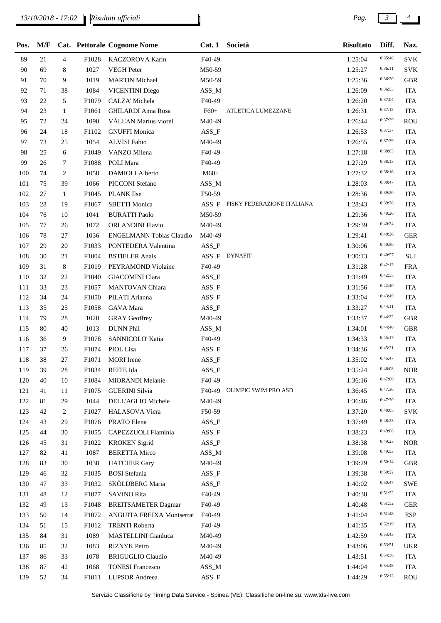## *13/10/2018 - 17:02 Pag. 3 4*

*Risultati ufficiali*

| Pos. | M/F    |                |       | <b>Cat. Pettorale Cognome Nome</b> | Cat.1    | Società                    | <b>Risultato</b> | Diff.   | Naz.       |
|------|--------|----------------|-------|------------------------------------|----------|----------------------------|------------------|---------|------------|
| 89   | $21\,$ | $\overline{4}$ | F1028 | KACZOROVA Karin                    | F40-49   |                            | 1:25:04          | 0:35:48 | <b>SVK</b> |
| 90   | 69     | 8              | 1027  | <b>VEGH Peter</b>                  | M50-59   |                            | 1:25:27          | 0:36:11 | <b>SVK</b> |
| 91   | 70     | 9              | 1019  | <b>MARTIN Michael</b>              | M50-59   |                            | 1:25:36          | 0:36:20 | <b>GBR</b> |
| 92   | 71     | 38             | 1084  | <b>VICENTINI Diego</b>             | $ASS\_M$ |                            | 1:26:09          | 0:36:53 | <b>ITA</b> |
| 93   | 22     | 5              | F1079 | CALZA' Michela                     | F40-49   |                            | 1:26:20          | 0:37:04 | <b>ITA</b> |
| 94   | 23     | 1              | F1061 | <b>GHILARDI Anna Rosa</b>          | $F60+$   | ATLETICA LUMEZZANE         | 1:26:31          | 0:37:15 | <b>ITA</b> |
| 95   | 72     | 24             | 1090  | VĂLEAN Marius-viorel               | M40-49   |                            | 1:26:44          | 0:37:29 | <b>ROU</b> |
| 96   | 24     | 18             | F1102 | <b>GNUFFI Monica</b>               | $ASS_F$  |                            | 1:26:53          | 0:37:37 | <b>ITA</b> |
| 97   | 73     | 25             | 1054  | <b>ALVISI Fabio</b>                | M40-49   |                            | 1:26:55          | 0:37:39 | <b>ITA</b> |
| 98   | 25     | 6              | F1049 | VANZO Milena                       | F40-49   |                            | 1:27:18          | 0:38:03 | <b>ITA</b> |
| 99   | 26     | 7              | F1088 | POLI Mara                          | F40-49   |                            | 1:27:29          | 0:38:13 | <b>ITA</b> |
| 100  | 74     | $\overline{c}$ | 1058  | DAMIOLI Alberto                    | $M60+$   |                            | 1:27:32          | 0:38:16 | <b>ITA</b> |
| 101  | 75     | 39             | 1066  | PICCONI Stefano                    | $ASS\_M$ |                            | 1:28:03          | 0:38:47 | <b>ITA</b> |
| 102  | 27     | $\mathbf{1}$   | F1045 | <b>PLANK</b> Ilse                  | F50-59   |                            | 1:28:36          | 0:39:20 | <b>ITA</b> |
| 103  | 28     | 19             | F1067 | <b>SBETTI Monica</b>               | $ASS_F$  | FISKY FEDERAZIONE ITALIANA | 1:28:43          | 0:39:28 | <b>ITA</b> |
| 104  | 76     | 10             | 1041  | <b>BURATTI Paolo</b>               | M50-59   |                            | 1:29:36          | 0:40:20 | <b>ITA</b> |
| 105  | 77     | 26             | 1072  | <b>ORLANDINI Flavio</b>            | M40-49   |                            | 1:29:39          | 0:40:24 | <b>ITA</b> |
| 106  | 78     | 27             | 1036  | <b>ENGELMANN Tobias Claudio</b>    | M40-49   |                            | 1:29:41          | 0:40:26 | <b>GER</b> |
| 107  | 29     | 20             | F1033 | PONTEDERA Valentina                | $ASS_F$  |                            | 1:30:06          | 0:40:50 | <b>ITA</b> |
| 108  | 30     | 21             | F1004 | <b>BSTIELER</b> Anais              | $ASS_F$  | DYNAFIT                    | 1:30:13          | 0:40:57 | SUI        |
| 109  | 31     | 8              | F1019 | PEYRAMOND Violaine                 | F40-49   |                            | 1:31:28          | 0:42:13 | <b>FRA</b> |
| 110  | 32     | 22             | F1040 | <b>GIACOMINI Clara</b>             | $ASS_F$  |                            | 1:31:49          | 0:42:33 | <b>ITA</b> |
| 111  | 33     | 23             | F1057 | MANTOVAN Chiara                    | $ASS_F$  |                            | 1:31:56          | 0:42:40 | <b>ITA</b> |
| 112  | 34     | 24             | F1050 | PILATI Arianna                     | $ASS_F$  |                            | 1:33:04          | 0:43:49 | <b>ITA</b> |
| 113  | 35     | 25             | F1058 | GAVA Mara                          | $ASS_F$  |                            | 1:33:27          | 0:44:11 | <b>ITA</b> |
| 114  | 79     | 28             | 1020  | <b>GRAY</b> Geoffrey               | M40-49   |                            | 1:33:37          | 0:44:22 | <b>GBR</b> |
| 115  | 80     | 40             | 1013  | <b>DUNN Phil</b>                   | $ASS\_M$ |                            | 1:34:01          | 0:44:46 | <b>GBR</b> |
| 116  | 36     | 9              | F1078 | SANNICOLO' Katia                   | F40-49   |                            | 1:34:33          | 0:45:17 | <b>ITA</b> |
| 117  | 37     | 26             | F1074 | PIOL Lisa                          | $ASS_F$  |                            | 1:34:36          | 0:45:21 | <b>ITA</b> |
| 118  | 38     | $27\,$         | F1071 | <b>MORI</b> Irene                  | $ASS_F$  |                            | 1:35:02          | 0:45:47 | <b>ITA</b> |
| 119  | 39     | 28             | F1034 | REITE Ida                          | $ASS_F$  |                            | 1:35:24          | 0:46:08 | <b>NOR</b> |
| 120  | 40     | 10             | F1084 | MIORANDI Melanie                   | F40-49   |                            | 1:36:16          | 0:47:00 | <b>ITA</b> |
| 121  | 41     | 11             | F1075 | <b>GUERINI</b> Silvia              | F40-49   | OLIMPIC SWIM PRO ASD       | 1:36:45          | 0:47:30 | <b>ITA</b> |
| 122  | 81     | 29             | 1044  | DELL'AGLIO Michele                 | M40-49   |                            | 1:36:46          | 0:47:30 | <b>ITA</b> |
| 123  | 42     | 2              | F1027 | HALASOVA Viera                     | F50-59   |                            | 1:37:20          | 0:48:05 | <b>SVK</b> |
| 124  | 43     | 29             | F1076 | PRATO Elena                        | $ASS_F$  |                            | 1:37:49          | 0:48:33 | <b>ITA</b> |
| 125  | 44     | 30             | F1055 | CAPEZZUOLI Flaminia                | $ASS_F$  |                            | 1:38:23          | 0:49:08 | <b>ITA</b> |
| 126  | 45     | 31             | F1022 | <b>KROKEN</b> Sigrid               | $ASS_F$  |                            | 1:38:38          | 0:49:23 | <b>NOR</b> |
| 127  | 82     | 41             | 1087  | <b>BERETTA Mirco</b>               | $ASS\_M$ |                            | 1:39:08          | 0:49:53 | <b>ITA</b> |
| 128  | 83     | 30             | 1038  | <b>HATCHER Gary</b>                | M40-49   |                            | 1:39:29          | 0:50:14 | <b>GBR</b> |
| 129  | 46     | 32             | F1035 | <b>BOSI</b> Stefania               | $ASS_F$  |                            | 1:39:38          | 0:50:22 | <b>ITA</b> |
| 130  | 47     | 33             | F1032 | SKÖLDBERG Maria                    | ASS_F    |                            | 1:40:02          | 0:50:47 | <b>SWE</b> |
| 131  | 48     | 12             | F1077 | <b>SAVINO Rita</b>                 | F40-49   |                            | 1:40:38          | 0:51:22 | <b>ITA</b> |
| 132  | 49     | 13             | F1048 | <b>BREITSAMETER Dagmar</b>         | F40-49   |                            | 1:40:48          | 0:51:32 | <b>GER</b> |
| 133  | 50     | 14             | F1072 | ANGUITA FREIXA Montserrat          | F40-49   |                            | 1:41:04          | 0:51:48 | <b>ESP</b> |
| 134  | 51     | 15             | F1012 | <b>TRENTI Roberta</b>              | F40-49   |                            | 1:41:35          | 0:52:19 | <b>ITA</b> |
| 135  | 84     | 31             | 1089  | MASTELLINI Gianluca                | M40-49   |                            | 1:42:59          | 0:53:43 | <b>ITA</b> |
| 136  | 85     | 32             | 1083  | <b>RIZNYK</b> Petro                | M40-49   |                            | 1:43:06          | 0:53:51 | <b>UKR</b> |
| 137  | 86     | 33             | 1078  | <b>BRIGUGLIO Claudio</b>           | M40-49   |                            | 1:43:51          | 0:54:36 | <b>ITA</b> |
|      | 87     |                |       |                                    |          |                            |                  | 0:54:48 |            |
| 138  |        | 42             | 1068  | <b>TONESI Francesco</b>            | $ASS\_M$ |                            | 1:44:04          | 0:55:13 | <b>ITA</b> |
| 139  | 52     | 34             | F1011 | LUPSOR Andreea                     | $ASS_F$  |                            | 1:44:29          |         | <b>ROU</b> |